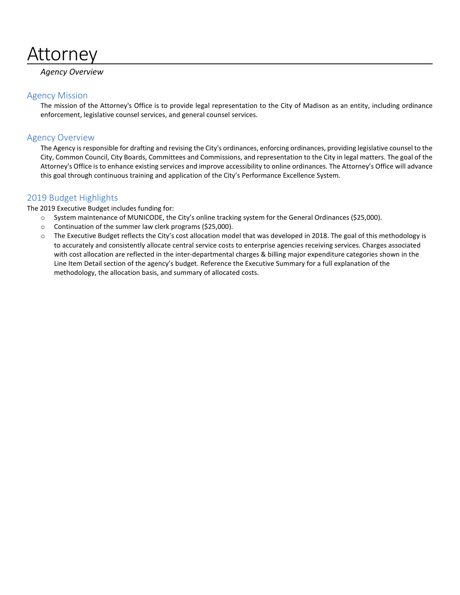# Attorney

# *Agency Overview*

# Agency Mission

The mission of the Attorney's Office is to provide legal representation to the City of Madison as an entity, including ordinance enforcement, legislative counsel services, and general counsel services.

# Agency Overview

The Agency is responsible for drafting and revising the City's ordinances, enforcing ordinances, providing legislative counsel to the City, Common Council, City Boards, Committees and Commissions, and representation to the City in legal matters. The goal of the Attorney's Office is to enhance existing services and improve accessibility to online ordinances. The Attorney's Office will advance this goal through continuous training and application of the City's Performance Excellence System.

# 2019 Budget Highlights

The 2019 Executive Budget includes funding for:

- o System maintenance of MUNICODE, the City's online tracking system for the General Ordinances (\$25,000).
- o Continuation of the summer law clerk programs (\$25,000).
- o The Executive Budget reflects the City's cost allocation model that was developed in 2018. The goal of this methodology is to accurately and consistently allocate central service costs to enterprise agencies receiving services. Charges associated with cost allocation are reflected in the inter-departmental charges & billing major expenditure categories shown in the Line Item Detail section of the agency's budget. Reference the Executive Summary for a full explanation of the methodology, the allocation basis, and summary of allocated costs.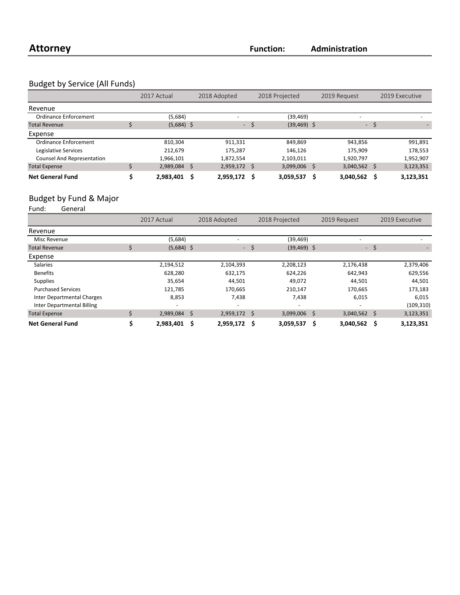# Budget by Service (All Funds)

|                                   | 2017 Actual  |     | 2018 Adopted   |      | 2018 Projected |  | 2019 Request |              | 2019 Executive |
|-----------------------------------|--------------|-----|----------------|------|----------------|--|--------------|--------------|----------------|
| Revenue                           |              |     |                |      |                |  |              |              |                |
| Ordinance Enforcement             | (5,684)      |     |                |      | (39,469)       |  | -            |              |                |
| <b>Total Revenue</b>              | $(5,684)$ \$ |     | $\sim$         |      | $(39, 469)$ \$ |  | - \$         |              |                |
| Expense                           |              |     |                |      |                |  |              |              |                |
| Ordinance Enforcement             | 810.304      |     | 911,331        |      | 849,869        |  | 943,856      |              | 991,891        |
| Legislative Services              | 212,679      |     | 175,287        |      | 146,126        |  | 175,909      |              | 178,553        |
| <b>Counsel And Representation</b> | 1,966,101    |     | 1,872,554      |      | 2,103,011      |  | 1,920,797    |              | 1,952,907      |
| <b>Total Expense</b>              | 2,989,084    | \$. | $2,959,172$ \$ |      | 3,099,006 \$   |  | 3,040,562    | <sub>S</sub> | 3,123,351      |
| <b>Net General Fund</b>           | 2,983,401    | Ŝ   | 2,959,172      | - \$ | 3,059,537      |  | 3,040,562    |              | 3,123,351      |

# Budget by Fund & Major<br>Fund: General

.<br>General

|                                   | 2017 Actual  |   | 2018 Adopted   |      | 2018 Projected           |   | 2019 Request   |      | 2019 Executive |
|-----------------------------------|--------------|---|----------------|------|--------------------------|---|----------------|------|----------------|
| Revenue                           |              |   |                |      |                          |   |                |      |                |
| Misc Revenue                      | (5,684)      |   |                |      | (39, 469)                |   |                |      |                |
| <b>Total Revenue</b>              | $(5,684)$ \$ |   |                | - \$ | $(39, 469)$ \$           |   |                | - \$ |                |
| Expense                           |              |   |                |      |                          |   |                |      |                |
| <b>Salaries</b>                   | 2,194,512    |   | 2,104,393      |      | 2,208,123                |   | 2,176,438      |      | 2,379,406      |
| <b>Benefits</b>                   | 628,280      |   | 632,175        |      | 624,226                  |   | 642,943        |      | 629,556        |
| <b>Supplies</b>                   | 35,654       |   | 44,501         |      | 49,072                   |   | 44,501         |      | 44,501         |
| <b>Purchased Services</b>         | 121,785      |   | 170,665        |      | 210,147                  |   | 170,665        |      | 173,183        |
| <b>Inter Departmental Charges</b> | 8,853        |   | 7,438          |      | 7,438                    |   | 6,015          |      | 6,015          |
| <b>Inter Departmental Billing</b> |              |   |                |      | $\overline{\phantom{a}}$ |   |                |      | (109, 310)     |
| <b>Total Expense</b>              | 2,989,084 \$ |   | $2,959,172$ \$ |      | 3,099,006 \$             |   | $3,040,562$ \$ |      | 3,123,351      |
| <b>Net General Fund</b>           | 2,983,401    | Ŝ | 2,959,172 \$   |      | 3,059,537                | Ś | 3,040,562      | Ŝ    | 3,123,351      |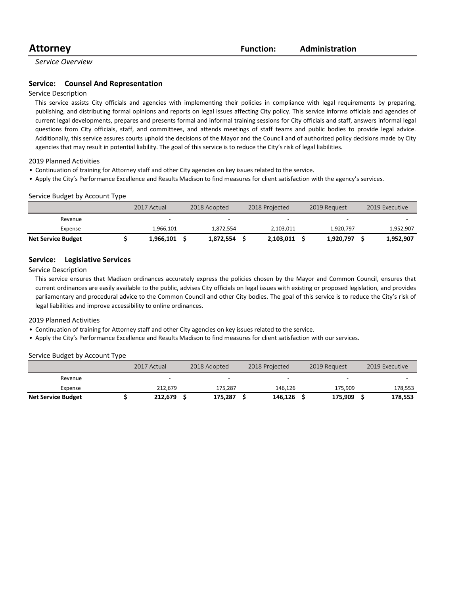# **Attorney Function:**

### **Administration**

*Service Overview*

#### **Service:** Counsel And Representation

#### Service Description

This service assists City officials and agencies with implementing their policies in compliance with legal requirements by preparing, publishing, and distributing formal opinions and reports on legal issues affecting City policy. This service informs officials and agencies of current legal developments, prepares and presents formal and informal training sessions for City officials and staff, answers informal legal questions from City officials, staff, and committees, and attends meetings of staff teams and public bodies to provide legal advice. Additionally, this service assures courts uphold the decisions of the Mayor and the Council and of authorized policy decisions made by City agencies that may result in potential liability. The goal of this service is to reduce the City's risk of legal liabilities.

2019 Planned Activities

- Continuation of training for Attorney staff and other City agencies on key issues related to the service.
- Apply the City's Performance Excellence and Results Madison to find measures for client satisfaction with the agency's services.

#### Service Budget by Account Type

|                           | 2017 Actual | 2018 Adopted | 2018 Projected | 2019 Request             | 2019 Executive |
|---------------------------|-------------|--------------|----------------|--------------------------|----------------|
| Revenue                   |             | -            |                | $\overline{\phantom{0}}$ |                |
| Expense                   | 1,966,101   | 1,872,554    | 2,103,011      | 1.920.797                | 1,952,907      |
| <b>Net Service Budget</b> | 1,966,101   | 1,872,554    | 2,103,011      | 1,920,797                | 1,952,907      |

#### **Service:** Legislative Services

Service Description

This service ensures that Madison ordinances accurately express the policies chosen by the Mayor and Common Council, ensures that current ordinances are easily available to the public, advises City officials on legal issues with existing or proposed legislation, and provides parliamentary and procedural advice to the Common Council and other City bodies. The goal of this service is to reduce the City's risk of legal liabilities and improve accessibility to online ordinances.

2019 Planned Activities

- Continuation of training for Attorney staff and other City agencies on key issues related to the service.
- Apply the City's Performance Excellence and Results Madison to find measures for client satisfaction with our services.

#### Service Budget by Account Type

|                           | 2017 Actual |  | 2018 Adopted | 2018 Projected |         | 2019 Request             |  | 2019 Executive |  |
|---------------------------|-------------|--|--------------|----------------|---------|--------------------------|--|----------------|--|
| Revenue                   | -           |  | <b>.</b>     |                |         | $\overline{\phantom{0}}$ |  |                |  |
| Expense                   | 212.679     |  | 175.287      |                | 146.126 | 175.909                  |  | 178,553        |  |
| <b>Net Service Budget</b> | 212,679     |  | 175,287      |                | 146,126 | 175,909                  |  | 178,553        |  |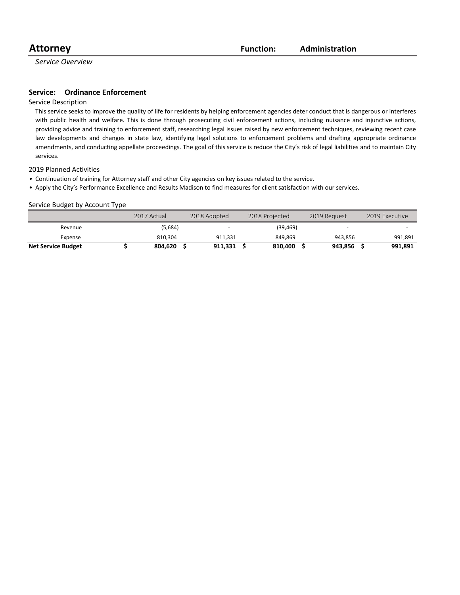*Service Overview*

#### **Service:** Ordinance Enforcement

#### Service Description

This service seeks to improve the quality of life for residents by helping enforcement agencies deter conduct that is dangerous or interferes with public health and welfare. This is done through prosecuting civil enforcement actions, including nuisance and injunctive actions, providing advice and training to enforcement staff, researching legal issues raised by new enforcement techniques, reviewing recent case law developments and changes in state law, identifying legal solutions to enforcement problems and drafting appropriate ordinance amendments, and conducting appellate proceedings. The goal of this service is reduce the City's risk of legal liabilities and to maintain City services.

#### 2019 Planned Activities

- Continuation of training for Attorney staff and other City agencies on key issues related to the service.
- Apply the City's Performance Excellence and Results Madison to find measures for client satisfaction with our services.

#### Service Budget by Account Type

|                           | 2017 Actual | 2018 Adopted             | 2018 Projected | 2019 Request             | 2019 Executive |
|---------------------------|-------------|--------------------------|----------------|--------------------------|----------------|
| Revenue                   | (5,684)     | $\overline{\phantom{a}}$ | (39, 469)      | $\overline{\phantom{0}}$ |                |
| Expense                   | 810.304     | 911.331                  | 849.869        | 943.856                  | 991,891        |
| <b>Net Service Budget</b> | 804.620     | 911.331                  | 810.400        | 943.856                  | 991,891        |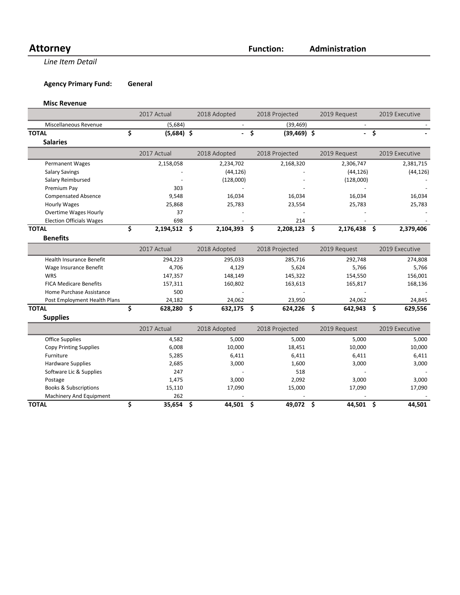# Attorney **Function:**

**Administration**

**Line Item Detail** 

**Agency Primary Fund: General** 

#### **Misc Revenue**

|                                  | 2017 Actual |                | 2018 Adopted |              | 2018 Projected |                | 2019 Request |              | 2019 Executive |                |
|----------------------------------|-------------|----------------|--------------|--------------|----------------|----------------|--------------|--------------|----------------|----------------|
| Miscellaneous Revenue            |             | (5,684)        |              |              |                | (39, 469)      |              |              |                |                |
| <b>TOTAL</b>                     | \$          | $(5,684)$ \$   |              |              | \$             | $(39, 469)$ \$ |              |              | - \$           |                |
| <b>Salaries</b>                  |             |                |              |              |                |                |              |              |                |                |
|                                  |             | 2017 Actual    |              | 2018 Adopted |                | 2018 Projected |              | 2019 Request |                | 2019 Executive |
| Permanent Wages                  |             | 2,158,058      |              | 2,234,702    |                | 2,168,320      |              | 2,306,747    |                | 2,381,715      |
| <b>Salary Savings</b>            |             |                |              | (44, 126)    |                |                |              | (44, 126)    |                | (44, 126)      |
| Salary Reimbursed                |             |                |              |              |                |                |              | (128,000)    |                |                |
| Premium Pay                      |             | 303            |              |              |                |                |              |              |                |                |
| <b>Compensated Absence</b>       |             | 9,548          |              | 16,034       |                | 16,034         |              | 16,034       |                | 16,034         |
| <b>Hourly Wages</b>              |             | 25,868         |              | 25,783       |                | 23,554         |              | 25,783       |                | 25,783         |
| <b>Overtime Wages Hourly</b>     |             | 37             |              |              |                |                |              |              |                |                |
| <b>Election Officials Wages</b>  |             | 698            |              |              |                | 214            |              |              |                |                |
| <b>TOTAL</b>                     | \$          | $2,194,512$ \$ |              | 2,104,393 \$ |                | 2,208,123 \$   |              | 2,176,438 \$ |                | 2,379,406      |
| <b>Benefits</b>                  |             |                |              |              |                |                |              |              |                |                |
|                                  |             | 2017 Actual    |              | 2018 Adopted |                | 2018 Projected |              | 2019 Request |                | 2019 Executive |
| <b>Health Insurance Benefit</b>  |             | 294,223        |              | 295,033      |                | 285,716        |              | 292,748      |                | 274,808        |
| Wage Insurance Benefit           |             | 4,706          |              | 4,129        |                | 5,624          |              | 5,766        |                | 5,766          |
| WRS                              |             | 147,357        |              | 148,149      |                | 145,322        |              | 154,550      |                | 156,001        |
| <b>FICA Medicare Benefits</b>    |             | 157,311        |              | 160,802      |                | 163,613        |              | 165,817      |                | 168,136        |
| Home Purchase Assistance         |             | 500            |              |              |                |                |              |              |                |                |
| Post Employment Health Plans     |             | 24,182         |              | 24,062       |                | 23,950         |              | 24,062       |                | 24,845         |
| <b>TOTAL</b>                     | \$          | 628,280        | \$           | 632,175 \$   |                | $624,226$ \$   |              | 642,943      | Ŝ.             | 629,556        |
| <b>Supplies</b>                  |             |                |              |              |                |                |              |              |                |                |
|                                  |             | 2017 Actual    |              | 2018 Adopted |                | 2018 Projected |              | 2019 Request |                | 2019 Executive |
| <b>Office Supplies</b>           |             | 4,582          |              | 5,000        |                | 5,000          |              | 5,000        |                | 5,000          |
| <b>Copy Printing Supplies</b>    |             | 6,008          |              | 10,000       |                | 18,451         |              | 10,000       |                | 10,000         |
| Furniture                        |             | 5,285          |              | 6,411        |                | 6,411          |              | 6,411        |                | 6,411          |
| <b>Hardware Supplies</b>         |             | 2,685          |              | 3,000        |                | 1,600          |              | 3,000        |                | 3,000          |
| Software Lic & Supplies          |             | 247            |              |              |                | 518            |              |              |                |                |
| Postage                          |             | 1,475          |              | 3,000        |                | 2,092          |              | 3,000        |                | 3,000          |
| <b>Books &amp; Subscriptions</b> |             | 15,110         |              | 17,090       |                | 15,000         |              | 17,090       |                | 17,090         |
| Machinery And Equipment          |             | 262            |              |              |                |                |              |              |                |                |

**TOTAL \$ 35,654 \$ 44,501 \$ 49,072 \$ 44,501 \$ 44,501**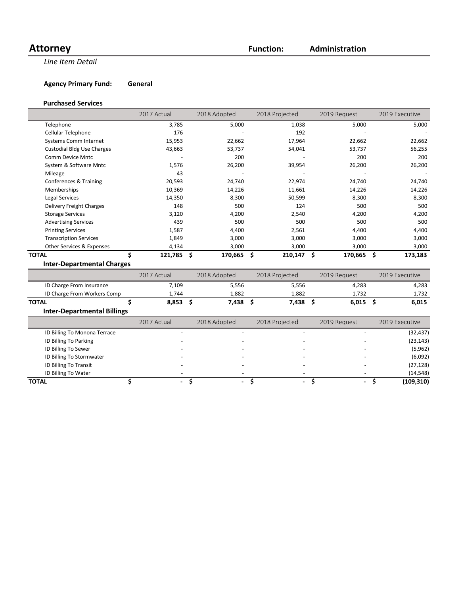# Attorney **Function:**

**Line Item Detail** 

**Agency Primary Fund: General** 

#### **Purchased Services**

|                                   | 2017 Actual | 2018 Adopted | 2018 Projected | 2019 Request | 2019 Executive |
|-----------------------------------|-------------|--------------|----------------|--------------|----------------|
| Telephone                         | 3,785       | 5,000        | 1,038          | 5,000        | 5,000          |
| Cellular Telephone                | 176         |              | 192            |              |                |
| <b>Systems Comm Internet</b>      | 15,953      | 22,662       | 17,964         | 22,662       | 22,662         |
| <b>Custodial Bldg Use Charges</b> | 43,663      | 53,737       | 54,041         | 53,737       | 56,255         |
| Comm Device Mntc                  |             | 200          |                | 200          | 200            |
| System & Software Mntc            | 1,576       | 26,200       | 39,954         | 26,200       | 26,200         |
| Mileage                           | 43          |              |                |              |                |
| Conferences & Training            | 20,593      | 24,740       | 22,974         | 24,740       | 24,740         |
| <b>Memberships</b>                | 10,369      | 14,226       | 11,661         | 14,226       | 14,226         |
| Legal Services                    | 14,350      | 8,300        | 50,599         | 8,300        | 8,300          |
| Delivery Freight Charges          | 148         | 500          | 124            | 500          | 500            |
| <b>Storage Services</b>           | 3,120       | 4,200        | 2,540          | 4,200        | 4,200          |
| <b>Advertising Services</b>       | 439         | 500          | 500            | 500          | 500            |
| <b>Printing Services</b>          | 1,587       | 4,400        | 2,561          | 4,400        | 4,400          |
| <b>Transcription Services</b>     | 1,849       | 3,000        | 3,000          | 3,000        | 3,000          |
| Other Services & Expenses         | 4,134       | 3,000        | 3,000          | 3,000        | 3,000          |
| <b>TOTAL</b>                      | 121,785 \$  | 170,665 \$   | 210,147        | Ŝ<br>170,665 | Ŝ.<br>173,183  |
| <b>Inter-Departmental Charges</b> |             |              |                |              |                |
|                                   | 2017 Actual | 2018 Adopted | 2018 Projected | 2019 Request | 2019 Executive |

|                             | LUIT ACCUUT | LUIU NUUNLU | ZUID I IUICCLU | LULU MUULUU | LUIJ LACCULIVE |
|-----------------------------|-------------|-------------|----------------|-------------|----------------|
| ID Charge From Insurance    | ,109        | 5,556       | 5,556          | 4,283       | 4,283          |
| ID Charge From Workers Comp | .744        | .882        | 1.882          | 1.732       | L.732          |
| <b>TOTAL</b>                | 8,853       | 7.438       | 7,438          | 6,015       | 6,015          |

# **Inter-Departmental Billings**

|                              | 2017 Actual |                          | 2018 Adopted | 2018 Projected           | 2019 Request |   | 2019 Executive |
|------------------------------|-------------|--------------------------|--------------|--------------------------|--------------|---|----------------|
| ID Billing To Monona Terrace |             |                          |              |                          |              |   | (32, 437)      |
| ID Billing To Parking        |             |                          |              |                          |              |   | (23, 143)      |
| ID Billing To Sewer          |             |                          |              |                          |              |   | (5,962)        |
| ID Billing To Stormwater     |             |                          |              |                          |              |   | (6,092)        |
| ID Billing To Transit        |             |                          |              |                          |              |   | (27, 128)      |
| ID Billing To Water          |             |                          |              | $\overline{\phantom{a}}$ |              |   | (14, 548)      |
| <b>TOTAL</b>                 |             | $\overline{\phantom{0}}$ | ۰.           | $\sim$                   |              | - | (109, 310)     |